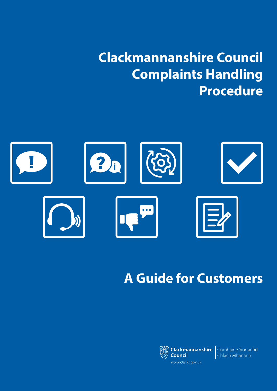**Clackmannanshire Council Complaints Handling Procedure**



# **A Guide for Customers**



**Council** www.clacks.gov.uk

**Clackmannanshire** Comhairle Siorrachd Chlach Mhanann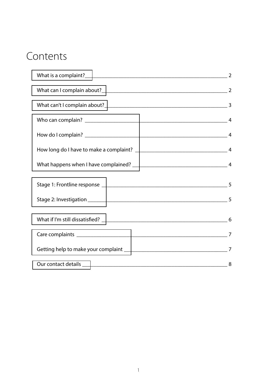## Contents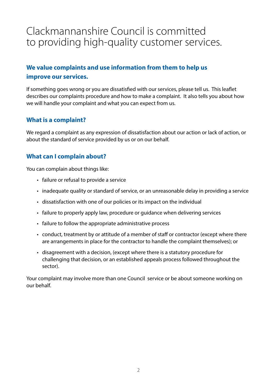## <span id="page-2-0"></span>Clackmannanshire Council is committed to providing high-quality customer services.

## **We value complaints and use information from them to help us improve our services.**

If something goes wrong or you are dissatisfied with our services, please tell us. This leaflet describes our complaints procedure and how to make a complaint. It also tells you about how we will handle your complaint and what you can expect from us.

#### **What is a complaint?**

We regard a complaint as any expression of dissatisfaction about our action or lack of action, or about the standard of service provided by us or on our behalf.

## **What can I complain about?**

You can complain about things like:

- failure or refusal to provide a service
- inadequate quality or standard of service, or an unreasonable delay in providing a service
- dissatisfaction with one of our policies or its impact on the individual
- failure to properly apply law, procedure or guidance when delivering services
- failure to follow the appropriate administrative process
- conduct, treatment by or attitude of a member of staff or contractor (except where there are arrangements in place for the contractor to handle the complaint themselves); or
- disagreement with a decision, (except where there is a statutory procedure for challenging that decision, or an established appeals process followed throughout the sector).

Your complaint may involve more than one Council service or be about someone working on our behalf.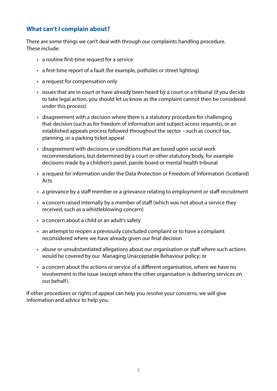### **What can't I complain about?**

There are some things we can't deal with through our complaints handling procedure. These include:

- a routine first-time request for a service
- a first-time report of a fault (for example, potholes or street lighting)
- a request for compensation only
- issues that are in court or have already been heard by a court or a tribunal (if you decide to take legal action, you should let us know as the complaint cannot then be considered under this process)
- disagreement with a decision where there is a statutory procedure for challenging that decision (such as for freedom of information and subject access requests), or an established appeals process followed throughout the sector – such as council tax, planning, or a parking ticket appeal
- disagreement with decisions or conditions that are based upon social work recommendations, but determined by a court or other statutory body, for example decisions made by a children's panel, parole board or mental health tribunal
- a request for information under the Data Protection or Freedom of Information (Scotland) Acts
- a grievance by a staff member or a grievance relating to employment or staff recruitment
- a concern raised internally by a member of staff (which was not about a service they received, such as a whistleblowing concern)
- a concern about a child or an adult's safety
- an attempt to reopen a previously concluded complaint or to have a complaint reconsidered where we have already given our final decision
- abuse or unsubstantiated allegations about our organisation or staff where such actions would be covered by our Managing Unacceptable Behaviour policy; or
- a concern about the actions or service of a different organisation, where we have no involvement in the issue (except where the other organisation is delivering services on our behalf).

If other procedures or rights of appeal can help you resolve your concerns, we will give information and advice to help you.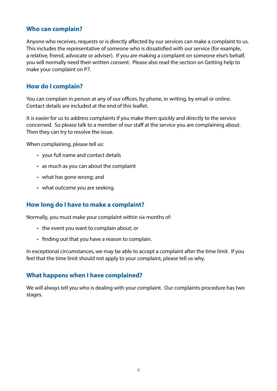#### <span id="page-4-0"></span>**Who can complain?**

Anyone who receives, requests or is directly affected by our services can make a complaint to us. This includes the representative of someone who is dissatisfied with our service (for example, a relative, friend, advocate or adviser). If you are making a complaint on someone else's behalf, you will normally need their written consent. Please also read the section on Getting help to make your complaint on P7.

#### **How do I complain?**

You can complain in person at any of our offices, by phone, in writing, by email or online. Contact details are included at the end of this leaflet.

It is easier for us to address complaints if you make them quickly and directly to the service concerned. So please talk to a member of our staff at the service you are complaining about. Then they can try to resolve the issue.

When complaining, please tell us:

- your full name and contact details
- as much as you can about the complaint
- what has gone wrong; and
- what outcome you are seeking.

#### **How long do I have to make a complaint?**

Normally, you must make your complaint within six months of:

- the event you want to complain about; or
- finding out that you have a reason to complain.

In exceptional circumstances, we may be able to accept a complaint after the time limit. If you feel that the time limit should not apply to your complaint, please tell us why.

#### **What happens when I have complained?**

We will always tell you who is dealing with your complaint. Our complaints procedure has two stages.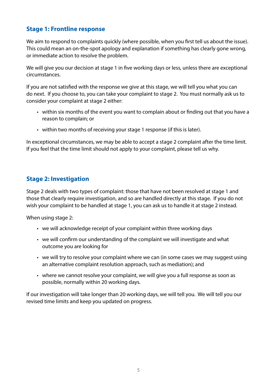## <span id="page-5-0"></span>**Stage 1: Frontline response**

We aim to respond to complaints quickly (where possible, when you first tell us about the issue). This could mean an on-the-spot apology and explanation if something has clearly gone wrong, or immediate action to resolve the problem.

We will give you our decision at stage 1 in five working days or less, unless there are exceptional circumstances.

If you are not satisfied with the response we give at this stage, we will tell you what you can do next. If you choose to, you can take your complaint to stage 2. You must normally ask us to consider your complaint at stage 2 either:

- within six months of the event you want to complain about or finding out that you have a reason to complain; or
- within two months of receiving your stage 1 response (if this is later).

In exceptional circumstances, we may be able to accept a stage 2 complaint after the time limit. If you feel that the time limit should not apply to your complaint, please tell us why.

## **Stage 2: Investigation**

Stage 2 deals with two types of complaint: those that have not been resolved at stage 1 and those that clearly require investigation, and so are handled directly at this stage. If you do not wish your complaint to be handled at stage 1, you can ask us to handle it at stage 2 instead.

When using stage 2:

- we will acknowledge receipt of your complaint within three working days
- we will confirm our understanding of the complaint we will investigate and what outcome you are looking for
- we will try to resolve your complaint where we can (in some cases we may suggest using an alternative complaint resolution approach, such as mediation); and
- where we cannot resolve your complaint, we will give you a full response as soon as possible, normally within 20 working days.

If our investigation will take longer than 20 working days, we will tell you. We will tell you our revised time limits and keep you updated on progress.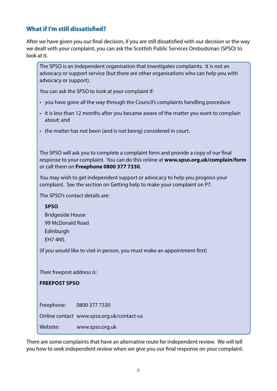## <span id="page-6-0"></span>**What if I'm still dissatisfied?**

After we have given you our final decision, if you are still dissatisfied with our decision or the way we dealt with your complaint, you can ask the Scottish Public Services Ombudsman (SPSO) to look at it.

The SPSO is an independent organisation that investigates complaints. It is not an advocacy or support service (but there are other organisations who can help you with advocacy or support).

You can ask the SPSO to look at your complaint if:

- you have gone all the way through the Council's complaints handling procedure
- it is less than 12 months after you became aware of the matter you want to complain about; and
- the matter has not been (and is not being) considered in court.

The SPSO will ask you to complete a complaint form and provide a copy of our final response to your complaint. You can do this online at **www.spso.org.uk/complain/form** or call them on **Freephone 0800 377 7330**.

You may wish to get independent support or advocacy to help you progress your complaint. See the section on Getting help to make your complaint on P7.

The SPSO's contact details are:

#### **SPSO**

Bridgeside House 99 McDonald Road Edinburgh EH7 4NS

(if you would like to visit in person, you must make an appointment first)

Their freepost address is:

#### **FREEPOST SPSO**

Freephone: 0800 377 7330

Online contact www.spso.org.uk/contact-us

Website: www.spso.org.uk

There are some complaints that have an alternative route for independent review. We will tell you how to seek independent review when we give you our final response on your complaint.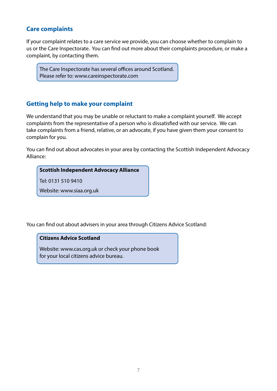### <span id="page-7-0"></span>**Care complaints**

If your complaint relates to a care service we provide, you can choose whether to complain to us or the Care Inspectorate. You can find out more about their complaints procedure, or make a complaint, by contacting them.

The Care Inspectorate has several offices around Scotland. Please refer to: www.careinspectorate.com

## **Getting help to make your complaint**

We understand that you may be unable or reluctant to make a complaint yourself. We accept complaints from the representative of a person who is dissatisfied with our service. We can take complaints from a friend, relative, or an advocate, if you have given them your consent to complain for you.

You can find out about advocates in your area by contacting the Scottish Independent Advocacy Alliance:

#### **Scottish Independent Advocacy Alliance**

Tel: 0131 510 9410

Website: www.siaa.org.uk

You can find out about advisers in your area through Citizens Advice Scotland:

#### **Citizens Advice Scotland**

Website: www.cas.org.uk or check your phone book for your local citizens advice bureau.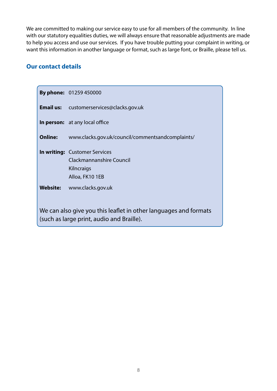<span id="page-8-0"></span>We are committed to making our service easy to use for all members of the community. In line with our statutory equalities duties, we will always ensure that reasonable adjustments are made to help you access and use our services. If you have trouble putting your complaint in writing, or want this information in another language or format, such as large font, or Braille, please tell us.

#### **Our contact details**

|                                                                                                               | <b>By phone: 01259 450000</b>                                                                     |
|---------------------------------------------------------------------------------------------------------------|---------------------------------------------------------------------------------------------------|
|                                                                                                               | <b>Email us:</b> customerservices@clacks.gov.uk                                                   |
|                                                                                                               | <b>In person:</b> at any local office                                                             |
| <b>Online:</b>                                                                                                | www.clacks.gov.uk/council/commentsandcomplaints/                                                  |
|                                                                                                               | <b>In writing: Customer Services</b><br>Clackmannanshire Council<br>Kilncraigs<br>Alloa, FK10 1EB |
|                                                                                                               | Website: www.clacks.gov.uk                                                                        |
| We can also give you this leaflet in other languages and formats<br>(such as large print, audio and Braille). |                                                                                                   |